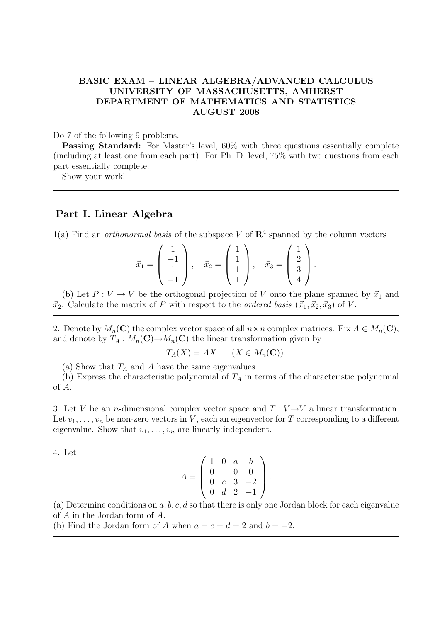## BASIC EXAM – LINEAR ALGEBRA/ADVANCED CALCULUS UNIVERSITY OF MASSACHUSETTS, AMHERST DEPARTMENT OF MATHEMATICS AND STATISTICS AUGUST 2008

Do 7 of the following 9 problems.

Passing Standard: For Master's level, 60% with three questions essentially complete (including at least one from each part). For Ph. D. level, 75% with two questions from each part essentially complete.

Show your work!

## Part I. Linear Algebra

1(a) Find an *orthonormal basis* of the subspace V of  $\mathbb{R}^4$  spanned by the column vectors

$$
\vec{x}_1 = \begin{pmatrix} 1 \\ -1 \\ 1 \\ -1 \end{pmatrix}, \quad \vec{x}_2 = \begin{pmatrix} 1 \\ 1 \\ 1 \\ 1 \end{pmatrix}, \quad \vec{x}_3 = \begin{pmatrix} 1 \\ 2 \\ 3 \\ 4 \end{pmatrix}.
$$

(b) Let  $P: V \to V$  be the orthogonal projection of V onto the plane spanned by  $\vec{x}_1$  and  $\vec{x}_2$ . Calculate the matrix of P with respect to the *ordered basis* ( $\vec{x}_1, \vec{x}_2, \vec{x}_3$ ) of V.

2. Denote by  $M_n(\mathbf{C})$  the complex vector space of all  $n \times n$  complex matrices. Fix  $A \in M_n(\mathbf{C})$ , and denote by  $T_A : M_n(\mathbf{C}) \to M_n(\mathbf{C})$  the linear transformation given by

$$
T_A(X) = AX \qquad (X \in M_n(\mathbf{C})).
$$

(a) Show that  $T_A$  and A have the same eigenvalues.

(b) Express the characteristic polynomial of  $T_A$  in terms of the characteristic polynomial of A.

3. Let V be an *n*-dimensional complex vector space and  $T: V \rightarrow V$  a linear transformation. Let  $v_1, \ldots, v_n$  be non-zero vectors in V, each an eigenvector for T corresponding to a different eigenvalue. Show that  $v_1, \ldots, v_n$  are linearly independent.

4. Let

$$
A = \left(\begin{array}{rrrr} 1 & 0 & a & b \\ 0 & 1 & 0 & 0 \\ 0 & c & 3 & -2 \\ 0 & d & 2 & -1 \end{array}\right).
$$

(a) Determine conditions on a, b, c, d so that there is only one Jordan block for each eigenvalue of A in the Jordan form of A.

(b) Find the Jordan form of A when  $a = c = d = 2$  and  $b = -2$ .